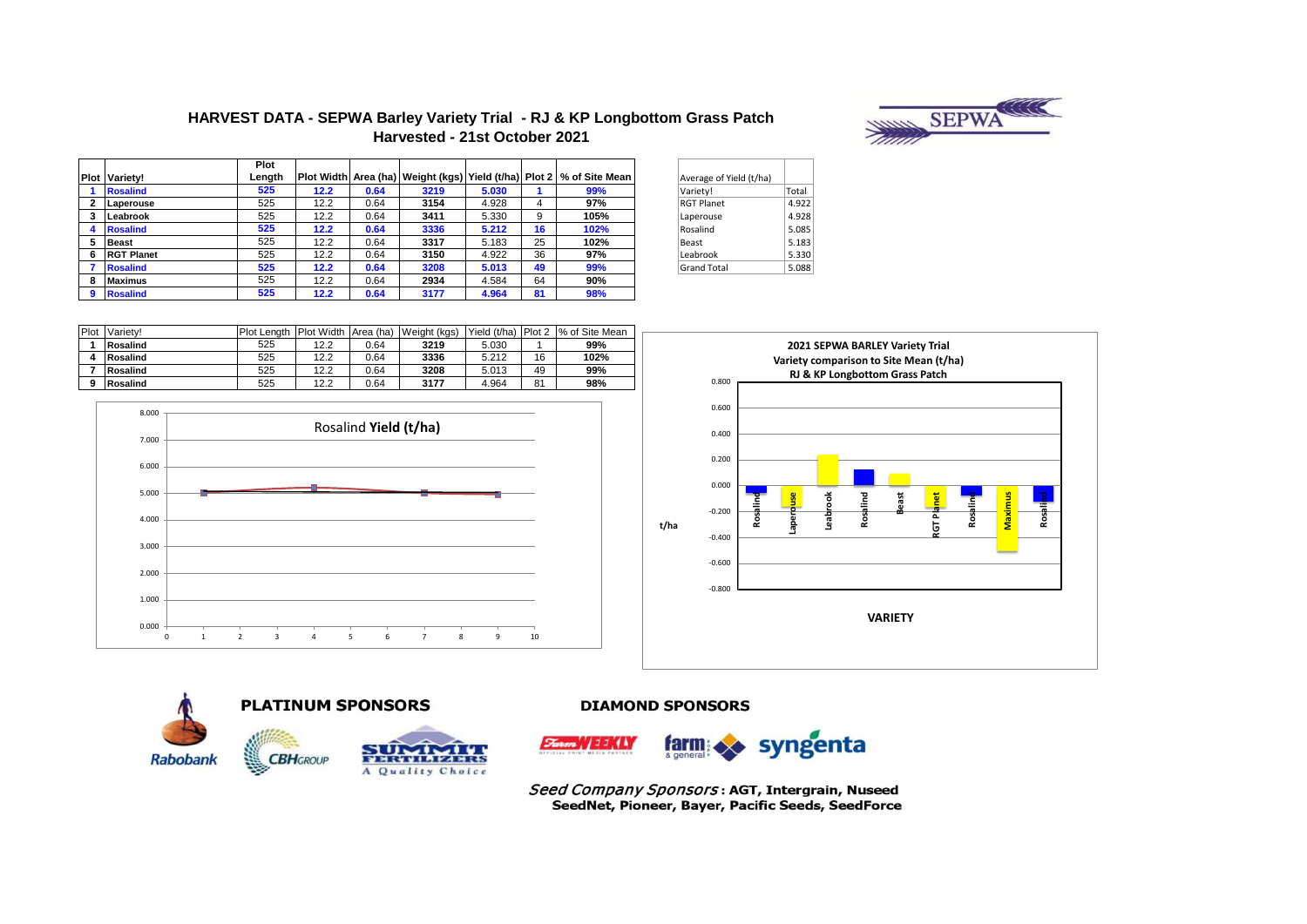# **SEPWANIE**

## HARVEST DATA - SEPWA Barley Variety Trial - RJ & KP Longbottom Grass Patch Harvested - 21st October 2021

|   |                      | <b>Plot</b> |      |      |      |       |    |                                                                                |
|---|----------------------|-------------|------|------|------|-------|----|--------------------------------------------------------------------------------|
|   | <b>Plot Varietv!</b> | Length      |      |      |      |       |    | Plot Width   Area (ha)   Weight (kgs)   Yield (t/ha)   Plot 2   % of Site Mean |
|   | <b>Rosalind</b>      | 525         | 12.2 | 0.64 | 3219 | 5.030 |    | 99%                                                                            |
|   | Laperouse            | 525         | 12.2 | 0.64 | 3154 | 4.928 | 4  | 97%                                                                            |
| 3 | Leabrook             | 525         | 12.2 | 0.64 | 3411 | 5.330 | 9  | 105%                                                                           |
|   | <b>Rosalind</b>      | 525         | 12.2 | 0.64 | 3336 | 5.212 | 16 | 102%                                                                           |
| 5 | <b>Beast</b>         | 525         | 12.2 | 0.64 | 3317 | 5.183 | 25 | 102%                                                                           |
| 6 | <b>RGT Planet</b>    | 525         | 12.2 | 0.64 | 3150 | 4.922 | 36 | 97%                                                                            |
|   | <b>Rosalind</b>      | 525         | 12.2 | 0.64 | 3208 | 5.013 | 49 | 99%                                                                            |
| 8 | <b>Maximus</b>       | 525         | 12.2 | 0.64 | 2934 | 4.584 | 64 | 90%                                                                            |
| 9 | <b>Rosalind</b>      | 525         | 12.2 | 0.64 | 3177 | 4.964 | 81 | 98%                                                                            |

| Total |
|-------|
| 4.922 |
| 4.928 |
| 5.085 |
| 5.183 |
| 5.330 |
| 5.088 |
|       |

| Plot | Variety! | <b>Plot Lenath</b> | Plot Width Area (ha) |      | Weight (kgs) |       |    | Yield (t/ha) Plot 2  % of Site Mean |
|------|----------|--------------------|----------------------|------|--------------|-------|----|-------------------------------------|
|      | Rosalind | 525                | 12.2                 | 0.64 | 3219         | 5.030 |    | 99%                                 |
|      | Rosalind | 525                | 12.2                 | 0.64 | 3336         | 5.212 | 16 | 102%                                |
|      | Rosalind | 525                | 12.2                 | 0.64 | 3208         | 5.013 | 49 | 99%                                 |
|      | Rosalind | 525                | 12.2                 | 0.64 | 3177         | 4.964 | 81 | 98%                                 |







## **PLATINUM SPONSORS**



## **DIAMOND SPONSORS**



Seed Company Sponsors: AGT, Intergrain, Nuseed SeedNet, Pioneer, Bayer, Pacific Seeds, SeedForce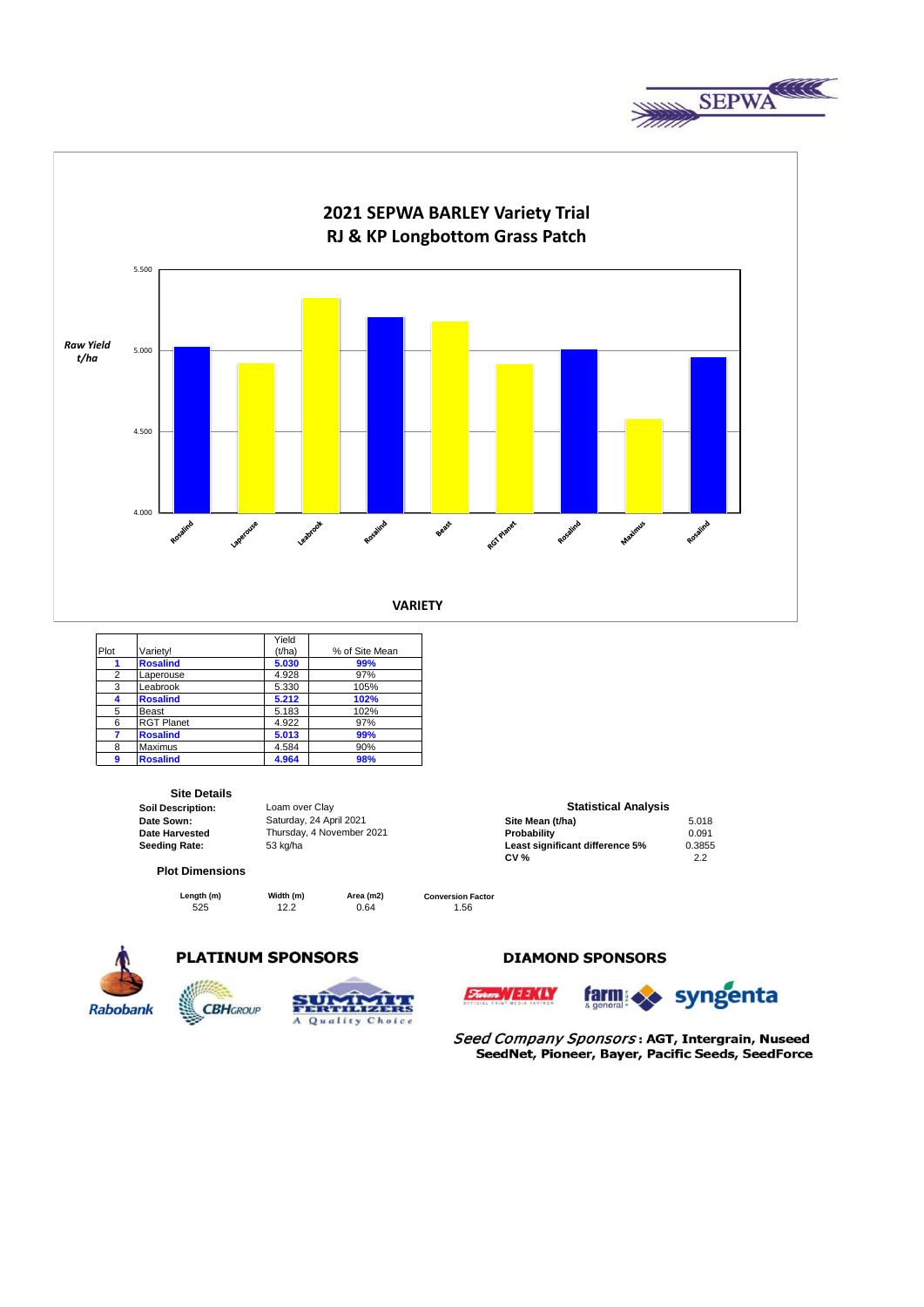



|                |                   | Yield  |                |
|----------------|-------------------|--------|----------------|
| Plot           | Varietv!          | (t/ha) | % of Site Mean |
|                | <b>Rosalind</b>   | 5.030  | 99%            |
| $\overline{2}$ | Laperouse         | 4.928  | 97%            |
| 3              | Leabrook          | 5.330  | 105%           |
| Δ              | <b>Rosalind</b>   | 5.212  | 102%           |
| 5              | Beast             | 5.183  | 102%           |
| 6              | <b>RGT Planet</b> | 4.922  | 97%            |
| 7              | <b>Rosalind</b>   | 5.013  | 99%            |
| 8              | Maximus           | 4.584  | 90%            |
| 9              | <b>Rosalind</b>   | 4.964  | 98%            |

**Site Details**<br> **Soil Description: Soil Description:** Loam over Clay<br> **Date Sown:** Saturday, 24 Apr

### **Plot Dimensions**

**CBH**GROUP

525 12.2 0.64 1.56 **Length (m) Width (m) Area (m2)** 

 $\sim$ 

Quality Choice

**Date Sown: Site Mean (t/ha)** 5.018 Saturday, 24 April 2021 **Date Harvested Community Charles Thursday, 4 November 2021 Community Probability Community Community Community Community Community Community Community Community Community Community Community Community Community Community Seeding Rate:** 53 kg/ha **Least significant difference 5%** 0.3855 **CV %** 2.2

**Statistical Analysis** 

**Conversion Factor**



## **PLATINUM SPONSORS**

Ā







Seed Company Sponsors: AGT, Intergrain, Nuseed SeedNet, Pioneer, Bayer, Pacific Seeds, SeedForce